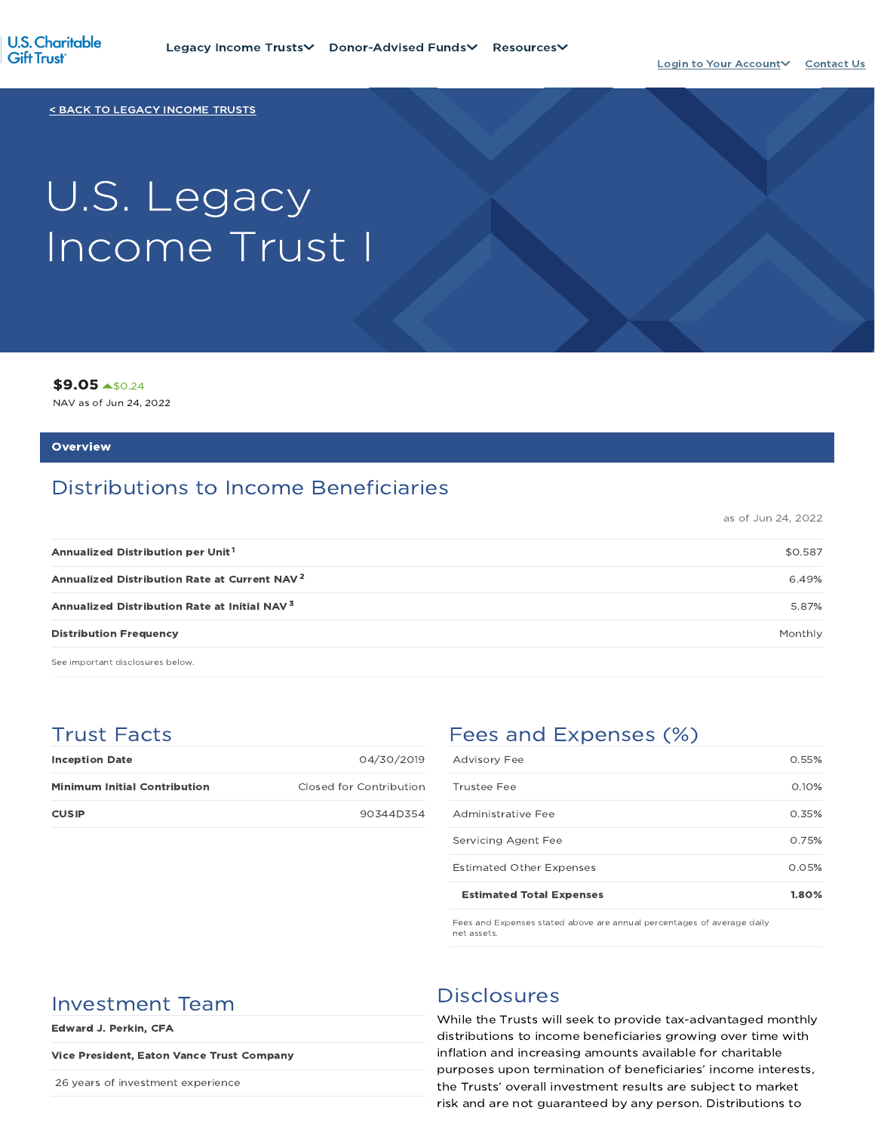

< BACK TO LEGACY INCOME TRUSTS

# U.S. Legacy Income Trust I

\$9.05 \$0.24

NAV as of Jun 24, 2022

#### **Overview**

## Distributions to Income Beneficiaries

as of Jun 24, 2022

| Annualized Distribution per Unit <sup>1</sup>            | \$0.587 |
|----------------------------------------------------------|---------|
| Annualized Distribution Rate at Current NAV <sup>2</sup> | 6.49%   |
| Annualized Distribution Rate at Initial NAV <sup>3</sup> | 5.87%   |
| <b>Distribution Frequency</b>                            | Monthly |

See important disclosures below.

## Trust Facts

| <b>Inception Date</b>               | 04/30/2019              |
|-------------------------------------|-------------------------|
| <b>Minimum Initial Contribution</b> | Closed for Contribution |
| <b>CUSIP</b>                        | 90344D354               |

## Fees and Expenses (%)

| <b>Estimated Total Expenses</b> | 1.80% |
|---------------------------------|-------|
| <b>Estimated Other Expenses</b> | 0.05% |
| Servicing Agent Fee             | 0.75% |
| Administrative Fee              | 0.35% |
| Trustee Fee                     | 0.10% |
| <b>Advisory Fee</b>             | 0.55% |

Fees and Expenses stated above are annual percentages of average daily net assets.

## Investment Team Disclosures

Edward J. Perkin, CFA

#### Vice President, Eaton Vance Trust Company

26 years of investment experience

While the Trusts will seek to provide tax-advantaged monthly distributions to income beneficiaries growing over time with inflation and increasing amounts available for charitable purposes upon termination of beneficiaries' income interests, the Trusts' overall investment results are subject to market risk and are not guaranteed by any person. Distributions to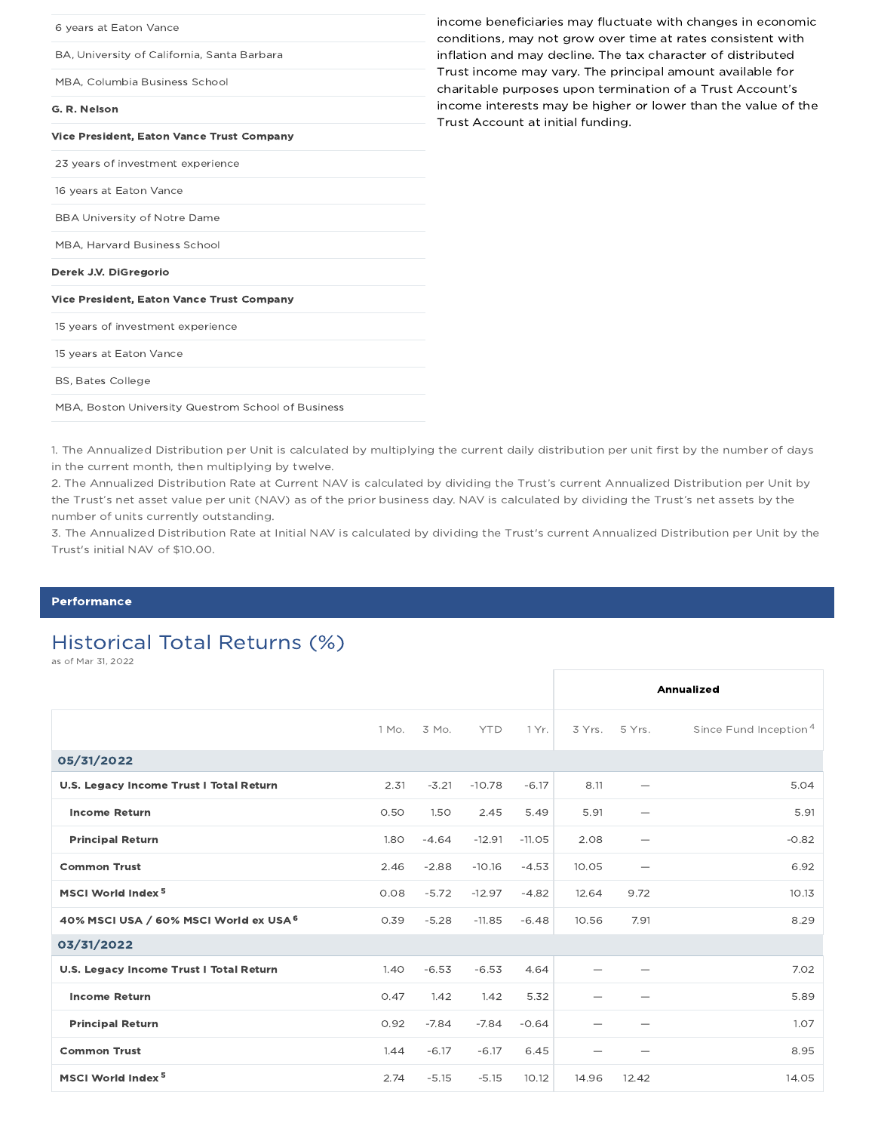| income beneficiaries may fluctuate with changes in economic<br>conditions, may not grow over time at rates consistent with |
|----------------------------------------------------------------------------------------------------------------------------|
| inflation and may decline. The tax character of distributed                                                                |
| Trust income may vary. The principal amount available for<br>charitable purposes upon termination of a Trust Account's     |
| income interests may be higher or lower than the value of the<br>Trust Account at initial funding.                         |
|                                                                                                                            |
|                                                                                                                            |
|                                                                                                                            |
|                                                                                                                            |
|                                                                                                                            |
|                                                                                                                            |
|                                                                                                                            |
|                                                                                                                            |
|                                                                                                                            |
|                                                                                                                            |
|                                                                                                                            |
|                                                                                                                            |

1. The Annualized Distribution per Unit is calculated by multiplying the current daily distribution per unit first by the number of days in the current month, then multiplying by twelve.

2. The Annualized Distribution Rate at Current NAV is calculated by dividing the Trust's current Annualized Distribution per Unit by the Trust's net asset value per unit (NAV) as of the prior business day. NAV is calculated by dividing the Trust's net assets by the number of units currently outstanding.

3. The Annualized Distribution Rate at Initial NAV is calculated by dividing the Trust's current Annualized Distribution per Unit by the Trust's initial NAV of \$10.00.

#### **Performance**

## Historical Total Returns (%)

as of Mar 31, 2022

|                                         |       |         |            |          |       |                          | Annualized                        |
|-----------------------------------------|-------|---------|------------|----------|-------|--------------------------|-----------------------------------|
|                                         | 1 Mo. | 3 Mo.   | <b>YTD</b> | 1 Yr.    |       | 3 Yrs. 5 Yrs.            | Since Fund Inception <sup>4</sup> |
| 05/31/2022                              |       |         |            |          |       |                          |                                   |
| U.S. Legacy Income Trust I Total Return | 2.31  | $-3.21$ | $-10.78$   | $-6.17$  | 8.11  |                          | 5.04                              |
| <b>Income Return</b>                    | 0.50  | 1.50    | 2.45       | 5.49     | 5.91  | $\overline{\phantom{0}}$ | 5.91                              |
| <b>Principal Return</b>                 | 1.80  | $-4.64$ | $-12.91$   | $-11.05$ | 2.08  |                          | $-0.82$                           |
| <b>Common Trust</b>                     | 2.46  | $-2.88$ | $-10.16$   | $-4.53$  | 10.05 | $\overline{\phantom{0}}$ | 6.92                              |
| MSCI World Index <sup>5</sup>           | 0.08  | $-5.72$ | $-12.97$   | $-4.82$  | 12.64 | 9.72                     | 10.13                             |
| 40% MSCI USA / 60% MSCI World ex USA 6  | 0.39  | $-5.28$ | $-11.85$   | $-6.48$  | 10.56 | 7.91                     | 8.29                              |
| 03/31/2022                              |       |         |            |          |       |                          |                                   |
| U.S. Legacy Income Trust I Total Return | 1.40  | $-6.53$ | $-6.53$    | 4.64     |       |                          | 7.02                              |
| <b>Income Return</b>                    | 0.47  | 1.42    | 1.42       | 5.32     |       |                          | 5.89                              |
| <b>Principal Return</b>                 | 0.92  | $-7.84$ | $-7.84$    | $-0.64$  |       |                          | 1.07                              |
| <b>Common Trust</b>                     | 1.44  | $-6.17$ | $-6.17$    | 6.45     |       |                          | 8.95                              |
| MSCI World Index <sup>5</sup>           | 2.74  | $-5.15$ | $-5.15$    | 10.12    | 14.96 | 12.42                    | 14.05                             |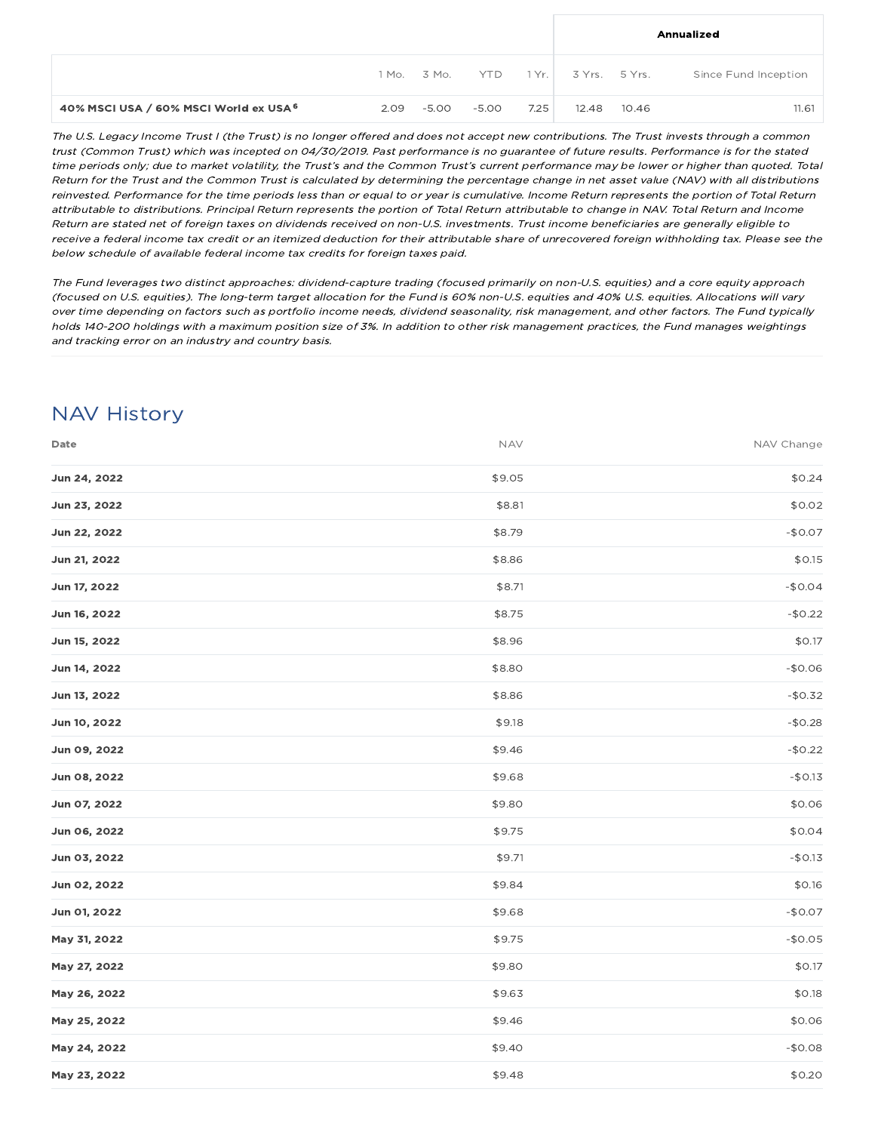|                                        |      |                 |       |      |                     | Annualized           |
|----------------------------------------|------|-----------------|-------|------|---------------------|----------------------|
|                                        |      | 1 Mo. 3 Mo. YTD |       |      | 1 Yr. 3 Yrs. 5 Yrs. | Since Fund Inception |
| 40% MSCI USA / 60% MSCI World ex USA 6 | 2.09 | $-5.00$         | -5.00 | 7.25 | 12.48 10.46         | 11.61                |

The U.S. Legacy Income Trust I (the Trust) is no longer offered and does not accept new contributions. The Trust invests through <sup>a</sup> common trust (Common Trust) which was incepted on 04/30/2019. Past performance is no guarantee of future results. Performance is for the stated time periods only; due to market volatility, the Trust's and the Common Trust's current performance may be lower or higher than quoted. Total Return for the Trust and the Common Trust is calculated by determining the percentage change in net asset value (NAV) with all distributions reinvested. Performance for the time periods less than or equal to or year is cumulative. Income Return represents the portion of Total Return attributable to distributions. Principal Return represents the portion of Total Return attributable to change in NAV. Total Return and Income Return are stated net of foreign taxes on dividends received on non-U.S. investments. Trust income beneficiaries are generally eligible to receive <sup>a</sup> federal income tax credit or an itemized deduction for their attributable share of unrecovered foreign withholding tax. Please see the below schedule of available federal income tax credits for foreign taxes paid.

The Fund leverages two distinct approaches: dividend-capture trading (focused primarily on non-U.S. equities) and <sup>a</sup> core equity approach (focused on U.S. equities). The long-term target allocation for the Fund is 60% non-U.S. equities and 40% U.S. equities. Allocations will vary over time depending on factors such as portfolio income needs, dividend seasonality, risk management, and other factors. The Fund typically holds 140-200 holdings with <sup>a</sup> maximum position size of 3%. In addition to other risk management practices, the Fund manages weightings and tracking error on an industry and country basis.

## NAV History

| Date         | <b>NAV</b> | NAV Change |
|--------------|------------|------------|
| Jun 24, 2022 | \$9.05     | \$0.24     |
| Jun 23, 2022 | \$8.81     | \$0.02     |
| Jun 22, 2022 | \$8.79     | $-$0.07$   |
| Jun 21, 2022 | \$8.86     | \$0.15     |
| Jun 17, 2022 | \$8.71     | $-$0.04$   |
| Jun 16, 2022 | \$8.75     | $-$0.22$   |
| Jun 15, 2022 | \$8.96     | \$0.17     |
| Jun 14, 2022 | \$8.80     | $-$0.06$   |
| Jun 13, 2022 | \$8.86     | $-$0.32$   |
| Jun 10, 2022 | \$9.18     | $-$0.28$   |
| Jun 09, 2022 | \$9.46     | $-$0.22$   |
| Jun 08, 2022 | \$9.68     | $-$0.13$   |
| Jun 07, 2022 | \$9.80     | \$0.06     |
| Jun 06, 2022 | \$9.75     | \$0.04     |
| Jun 03, 2022 | \$9.71     | $-$0.13$   |
| Jun 02, 2022 | \$9.84     | \$0.16     |
| Jun 01, 2022 | \$9.68     | $-$0.07$   |
| May 31, 2022 | \$9.75     | $-$0.05$   |
| May 27, 2022 | \$9.80     | \$0.17     |
| May 26, 2022 | \$9.63     | \$0.18     |
| May 25, 2022 | \$9.46     | \$0.06     |
| May 24, 2022 | \$9.40     | $-$0.08$   |
| May 23, 2022 | \$9.48     | \$0.20     |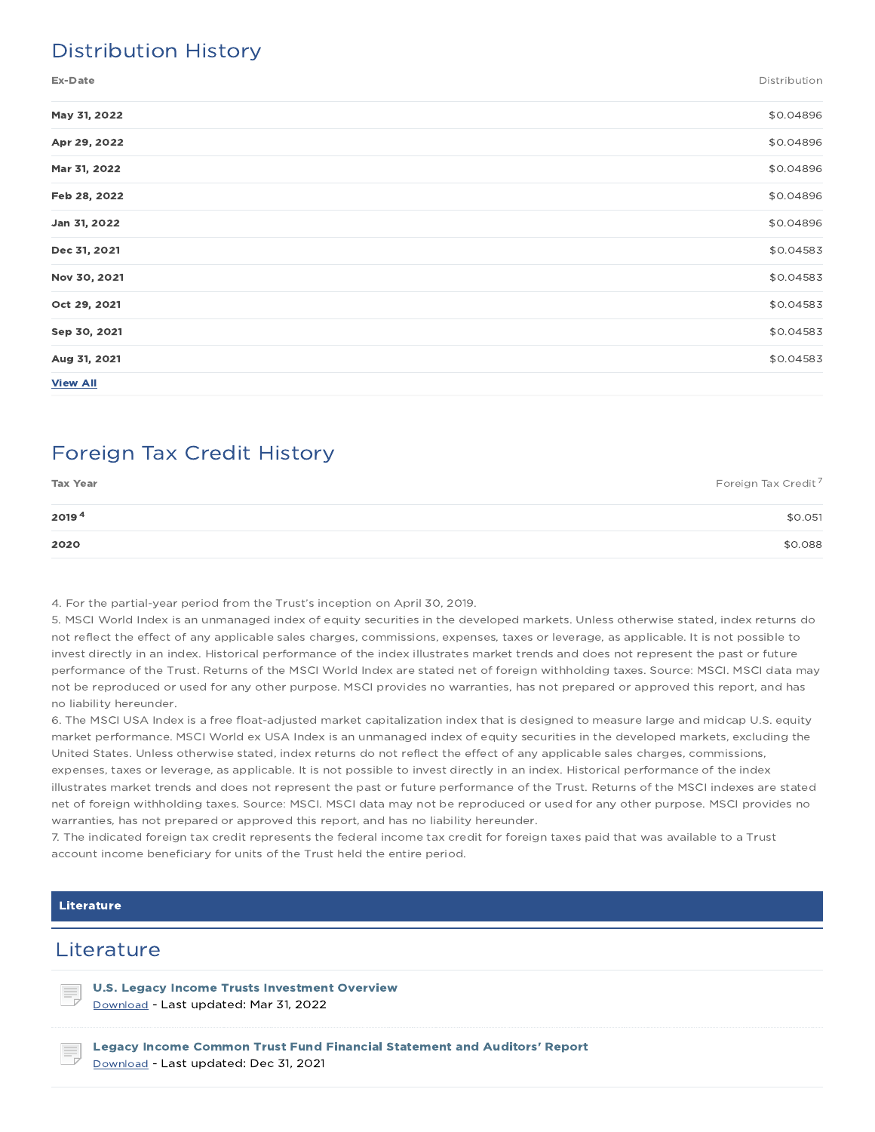## Distribution History

Ex-Date Distribution

| May 31, 2022    | \$0.04896 |
|-----------------|-----------|
| Apr 29, 2022    | \$0.04896 |
| Mar 31, 2022    | \$0.04896 |
| Feb 28, 2022    | \$0.04896 |
| Jan 31, 2022    | \$0.04896 |
| Dec 31, 2021    | \$0.04583 |
| Nov 30, 2021    | \$0.04583 |
| Oct 29, 2021    | \$0.04583 |
| Sep 30, 2021    | \$0.04583 |
| Aug 31, 2021    | \$0.04583 |
| <b>View All</b> |           |

## Foreign Tax Credit History

| <b>Tax Year</b> | Foreign Tax Credit <sup>7</sup> |
|-----------------|---------------------------------|
| 20194           | \$0.051                         |
| 2020            | \$0.088                         |

4. For the partial-year period from the Trust's inception on April 30, 2019.

5. MSCI World Index is an unmanaged index of equity securities in the developed markets. Unless otherwise stated, index returns do not reflect the effect of any applicable sales charges, commissions, expenses, taxes or leverage, as applicable. It is not possible to invest directly in an index. Historical performance of the index illustrates market trends and does not represent the past or future performance of the Trust. Returns of the MSCI World Index are stated net of foreign withholding taxes. Source: MSCI. MSCI data may not be reproduced or used for any other purpose. MSCI provides no warranties, has not prepared or approved this report, and has no liability hereunder.

6. The MSCI USA Index is a free float-adjusted market capitalization index that is designed to measure large and midcap U.S. equity market performance. MSCI World ex USA Index is an unmanaged index of equity securities in the developed markets, excluding the United States. Unless otherwise stated, index returns do not reflect the effect of any applicable sales charges, commissions, expenses, taxes or leverage, as applicable. It is not possible to invest directly in an index. Historical performance of the index illustrates market trends and does not represent the past or future performance of the Trust. Returns of the MSCI indexes are stated net of foreign withholding taxes. Source: MSCI. MSCI data may not be reproduced or used for any other purpose. MSCI provides no warranties, has not prepared or approved this report, and has no liability hereunder.

7. The indicated foreign tax credit represents the federal income tax credit for foreign taxes paid that was available to a Trust account income beneficiary for units of the Trust held the entire period.

#### Literature

### **Literature**

U.S. Legacy Income Trusts Investment Overview Download - Last updated: Mar 31, 2022

Legacy Income Common Trust Fund Financial Statement and Auditors' Report Download - Last updated: Dec 31, 2021